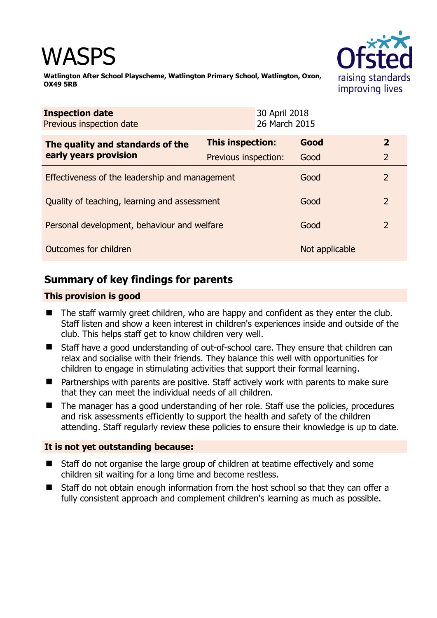# WASPS



**Watlington After School Playscheme, Watlington Primary School, Watlington, Oxon, OX49 5RB** 

| <b>Inspection date</b><br>Previous inspection date        |                      | 30 April 2018<br>26 March 2015 |                |                |
|-----------------------------------------------------------|----------------------|--------------------------------|----------------|----------------|
| The quality and standards of the<br>early years provision | This inspection:     |                                | Good           | $\mathbf{2}$   |
|                                                           | Previous inspection: |                                | Good           | $\overline{2}$ |
| Effectiveness of the leadership and management            |                      |                                | Good           | 2              |
| Quality of teaching, learning and assessment              |                      |                                | Good           | 2              |
| Personal development, behaviour and welfare               |                      |                                | Good           | $\overline{2}$ |
| Outcomes for children                                     |                      |                                | Not applicable |                |

# **Summary of key findings for parents**

# **This provision is good**

- The staff warmly greet children, who are happy and confident as they enter the club. Staff listen and show a keen interest in children's experiences inside and outside of the club. This helps staff get to know children very well.
- Staff have a good understanding of out-of-school care. They ensure that children can relax and socialise with their friends. They balance this well with opportunities for children to engage in stimulating activities that support their formal learning.
- Partnerships with parents are positive. Staff actively work with parents to make sure that they can meet the individual needs of all children.
- The manager has a good understanding of her role. Staff use the policies, procedures and risk assessments efficiently to support the health and safety of the children attending. Staff regularly review these policies to ensure their knowledge is up to date.

## **It is not yet outstanding because:**

- Staff do not organise the large group of children at teatime effectively and some children sit waiting for a long time and become restless.
- Staff do not obtain enough information from the host school so that they can offer a fully consistent approach and complement children's learning as much as possible.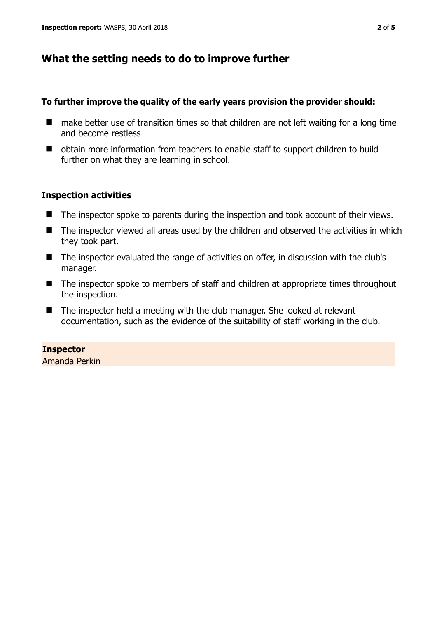# **What the setting needs to do to improve further**

## **To further improve the quality of the early years provision the provider should:**

- make better use of transition times so that children are not left waiting for a long time and become restless
- obtain more information from teachers to enable staff to support children to build further on what they are learning in school.

# **Inspection activities**

- The inspector spoke to parents during the inspection and took account of their views.
- The inspector viewed all areas used by the children and observed the activities in which they took part.
- The inspector evaluated the range of activities on offer, in discussion with the club's manager.
- The inspector spoke to members of staff and children at appropriate times throughout the inspection.
- The inspector held a meeting with the club manager. She looked at relevant documentation, such as the evidence of the suitability of staff working in the club.

#### **Inspector**  Amanda Perkin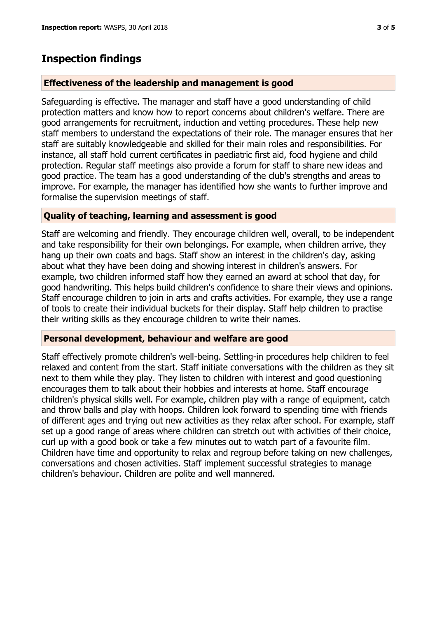# **Inspection findings**

## **Effectiveness of the leadership and management is good**

Safeguarding is effective. The manager and staff have a good understanding of child protection matters and know how to report concerns about children's welfare. There are good arrangements for recruitment, induction and vetting procedures. These help new staff members to understand the expectations of their role. The manager ensures that her staff are suitably knowledgeable and skilled for their main roles and responsibilities. For instance, all staff hold current certificates in paediatric first aid, food hygiene and child protection. Regular staff meetings also provide a forum for staff to share new ideas and good practice. The team has a good understanding of the club's strengths and areas to improve. For example, the manager has identified how she wants to further improve and formalise the supervision meetings of staff.

# **Quality of teaching, learning and assessment is good**

Staff are welcoming and friendly. They encourage children well, overall, to be independent and take responsibility for their own belongings. For example, when children arrive, they hang up their own coats and bags. Staff show an interest in the children's day, asking about what they have been doing and showing interest in children's answers. For example, two children informed staff how they earned an award at school that day, for good handwriting. This helps build children's confidence to share their views and opinions. Staff encourage children to join in arts and crafts activities. For example, they use a range of tools to create their individual buckets for their display. Staff help children to practise their writing skills as they encourage children to write their names.

## **Personal development, behaviour and welfare are good**

Staff effectively promote children's well-being. Settling-in procedures help children to feel relaxed and content from the start. Staff initiate conversations with the children as they sit next to them while they play. They listen to children with interest and good questioning encourages them to talk about their hobbies and interests at home. Staff encourage children's physical skills well. For example, children play with a range of equipment, catch and throw balls and play with hoops. Children look forward to spending time with friends of different ages and trying out new activities as they relax after school. For example, staff set up a good range of areas where children can stretch out with activities of their choice, curl up with a good book or take a few minutes out to watch part of a favourite film. Children have time and opportunity to relax and regroup before taking on new challenges, conversations and chosen activities. Staff implement successful strategies to manage children's behaviour. Children are polite and well mannered.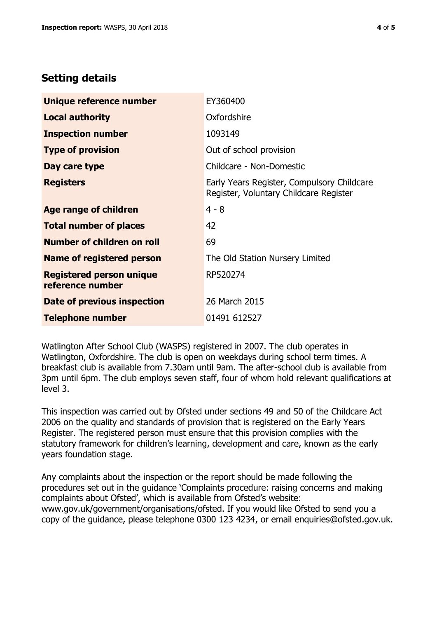# **Setting details**

| Unique reference number                             | EY360400                                                                             |  |
|-----------------------------------------------------|--------------------------------------------------------------------------------------|--|
| <b>Local authority</b>                              | Oxfordshire                                                                          |  |
| <b>Inspection number</b>                            | 1093149                                                                              |  |
| <b>Type of provision</b>                            | Out of school provision                                                              |  |
| Day care type                                       | Childcare - Non-Domestic                                                             |  |
| <b>Registers</b>                                    | Early Years Register, Compulsory Childcare<br>Register, Voluntary Childcare Register |  |
| Age range of children                               | $4 - 8$                                                                              |  |
| <b>Total number of places</b>                       | 42                                                                                   |  |
| Number of children on roll                          | 69                                                                                   |  |
| <b>Name of registered person</b>                    | The Old Station Nursery Limited                                                      |  |
| <b>Registered person unique</b><br>reference number | RP520274                                                                             |  |
| Date of previous inspection                         | 26 March 2015                                                                        |  |
| <b>Telephone number</b>                             | 01491 612527                                                                         |  |

Watlington After School Club (WASPS) registered in 2007. The club operates in Watlington, Oxfordshire. The club is open on weekdays during school term times. A breakfast club is available from 7.30am until 9am. The after-school club is available from 3pm until 6pm. The club employs seven staff, four of whom hold relevant qualifications at level 3.

This inspection was carried out by Ofsted under sections 49 and 50 of the Childcare Act 2006 on the quality and standards of provision that is registered on the Early Years Register. The registered person must ensure that this provision complies with the statutory framework for children's learning, development and care, known as the early years foundation stage.

Any complaints about the inspection or the report should be made following the procedures set out in the guidance 'Complaints procedure: raising concerns and making complaints about Ofsted', which is available from Ofsted's website: www.gov.uk/government/organisations/ofsted. If you would like Ofsted to send you a copy of the guidance, please telephone 0300 123 4234, or email enquiries@ofsted.gov.uk.